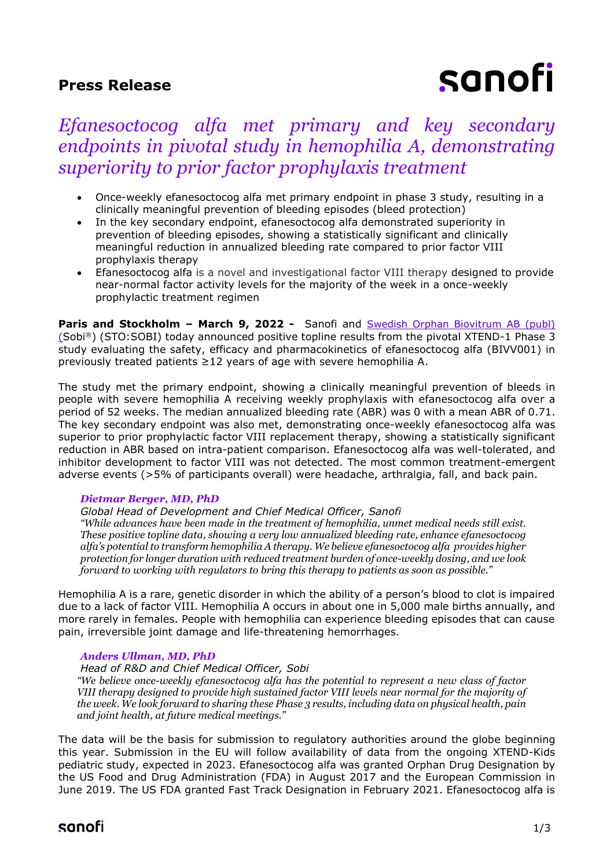### **Press Release**

# sanofi

## *Efanesoctocog alfa met primary and key secondary endpoints in pivotal study in hemophilia A, demonstrating superiority to prior factor prophylaxis treatment*

- Once-weekly efanesoctocog alfa met primary endpoint in phase 3 study, resulting in a clinically meaningful prevention of bleeding episodes (bleed protection)
- In the key secondary endpoint, efanesoctocog alfa demonstrated superiority in prevention of bleeding episodes, showing a statistically significant and clinically meaningful reduction in annualized bleeding rate compared to prior factor VIII prophylaxis therapy
- Efanesoctocog alfa is a novel and investigational factor VIII therapy designed to provide near-normal factor activity levels for the majority of the week in a once-weekly prophylactic treatment regimen

**Paris and Stockholm - March 9, 2022 -** Sanofi and **Swedish Orphan Biovitrum AB** (publ) (Sobi®) (STO:SOBI) today announced positive topline results from the pivotal XTEND-1 Phase 3 study evaluating the safety, efficacy and pharmacokinetics of efanesoctocog alfa (BIVV001) in previously treated patients  $\geq$  12 years of age with severe hemophilia A.

The study met the primary endpoint, showing a clinically meaningful prevention of bleeds in people with severe hemophilia A receiving weekly prophylaxis with efanesoctocog alfa over a period of 52 weeks. The median annualized bleeding rate (ABR) was 0 with a mean ABR of 0.71. The key secondary endpoint was also met, demonstrating once-weekly efanesoctocog alfa was superior to prior prophylactic factor VIII replacement therapy, showing a statistically significant reduction in ABR based on intra-patient comparison. Efanesoctocog alfa was well-tolerated, and inhibitor development to factor VIII was not detected. The most common treatment-emergent adverse events (>5% of participants overall) were headache, arthralgia, fall, and back pain.

#### *Dietmar Berger, MD, PhD*

*Global Head of Development and Chief Medical Officer, Sanofi "While advances have been made in the treatment of hemophilia, unmet medical needs still exist. These positive topline data, showing a very low annualized bleeding rate, enhance efanesoctocog alfa's potential to transform hemophilia A therapy. We believe efanesoctocog alfa provides higher protection for longer duration with reduced treatment burden of once-weekly dosing, and we look forward to working with regulators to bring this therapy to patients as soon as possible."*

Hemophilia A is a rare, genetic disorder in which the ability of a person's blood to clot is impaired due to a lack of factor VIII. Hemophilia A occurs in about one in 5,000 male births annually, and more rarely in females. People with hemophilia can experience bleeding episodes that can cause pain, irreversible joint damage and life-threatening hemorrhages.

#### *Anders Ullman, MD, PhD*

*Head of R&D and Chief Medical Officer, Sobi*

*"We believe once-weekly efanesoctocog alfa has the potential to represent a new class of factor VIII therapy designed to provide high sustained factor VIII levels near normal for the majority of the week. We look forward to sharing these Phase 3 results, including data on physical health, pain and joint health, at future medical meetings."*

The data will be the basis for submission to regulatory authorities around the globe beginning this year. Submission in the EU will follow availability of data from the ongoing XTEND-Kids pediatric study, expected in 2023. Efanesoctocog alfa was granted Orphan Drug Designation by the US Food and Drug Administration (FDA) in August 2017 and the European Commission in June 2019. The US FDA granted Fast Track Designation in February 2021. Efanesoctocog alfa is

## sanofi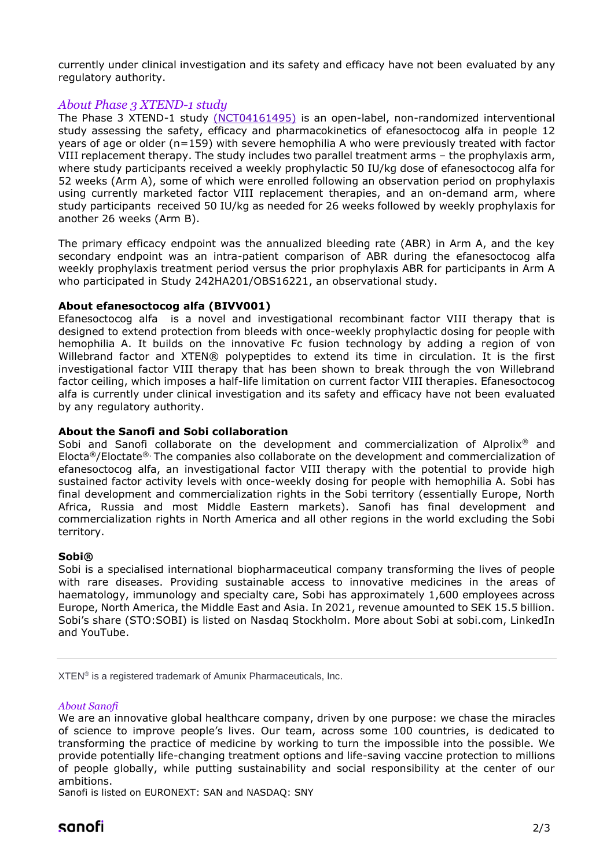currently under clinical investigation and its safety and efficacy have not been evaluated by any regulatory authority.

#### *About Phase 3 XTEND-1 study*

The Phase 3 XTEND-1 study [\(NCT04161495\)](https://clinicaltrials.gov/ct2/show/NCT04161495?term=BIVV001&cond=hemophilia+A&draw=2&rank=5) is an open-label, non-randomized interventional study assessing the safety, efficacy and pharmacokinetics of efanesoctocog alfa in people 12 years of age or older (n=159) with severe hemophilia A who were previously treated with factor VIII replacement therapy. The study includes two parallel treatment arms – the prophylaxis arm, where study participants received a weekly prophylactic 50 IU/kg dose of efanesoctocog alfa for 52 weeks (Arm A), some of which were enrolled following an observation period on prophylaxis using currently marketed factor VIII replacement therapies, and an on-demand arm, where study participants received 50 IU/kg as needed for 26 weeks followed by weekly prophylaxis for another 26 weeks (Arm B).

The primary efficacy endpoint was the annualized bleeding rate (ABR) in Arm A, and the key secondary endpoint was an intra-patient comparison of ABR during the efanesoctocog alfa weekly prophylaxis treatment period versus the prior prophylaxis ABR for participants in Arm A who participated in Study 242HA201/OBS16221, an observational study.

#### **About efanesoctocog alfa (BIVV001)**

Efanesoctocog alfa is a novel and investigational recombinant factor VIII therapy that is designed to extend protection from bleeds with once-weekly prophylactic dosing for people with hemophilia A. It builds on the innovative Fc fusion technology by adding a region of von Willebrand factor and XTEN® polypeptides to extend its time in circulation. It is the first investigational factor VIII therapy that has been shown to break through the von Willebrand factor ceiling, which imposes a half-life limitation on current factor VIII therapies. Efanesoctocog alfa is currently under clinical investigation and its safety and efficacy have not been evaluated by any regulatory authority.

#### **About the Sanofi and Sobi collaboration**

Sobi and Sanofi collaborate on the development and commercialization of Alprolix<sup>®</sup> and Elocta®/Eloctate®. The companies also collaborate on the development and commercialization of efanesoctocog alfa, an investigational factor VIII therapy with the potential to provide high sustained factor activity levels with once-weekly dosing for people with hemophilia A. Sobi has final development and commercialization rights in the Sobi territory (essentially Europe, North Africa, Russia and most Middle Eastern markets). Sanofi has final development and commercialization rights in North America and all other regions in the world excluding the Sobi territory.

#### **Sobi®**

Sobi is a specialised international biopharmaceutical company transforming the lives of people with rare diseases. Providing sustainable access to innovative medicines in the areas of haematology, immunology and specialty care, Sobi has approximately 1,600 employees across Europe, North America, the Middle East and Asia. In 2021, revenue amounted to SEK 15.5 billion. Sobi's share (STO:SOBI) is listed on Nasdaq Stockholm. More about Sobi at sobi.com, LinkedIn and YouTube.

XTEN® is a registered trademark of Amunix Pharmaceuticals, Inc.

#### *About Sanofi*

We are an innovative global healthcare company, driven by one purpose: we chase the miracles of science to improve people's lives. Our team, across some 100 countries, is dedicated to transforming the practice of medicine by working to turn the impossible into the possible. We provide potentially life-changing treatment options and life-saving vaccine protection to millions of people globally, while putting sustainability and social responsibility at the center of our ambitions.

Sanofi is listed on EURONEXT: SAN and NASDAQ: SNY

## sanofi